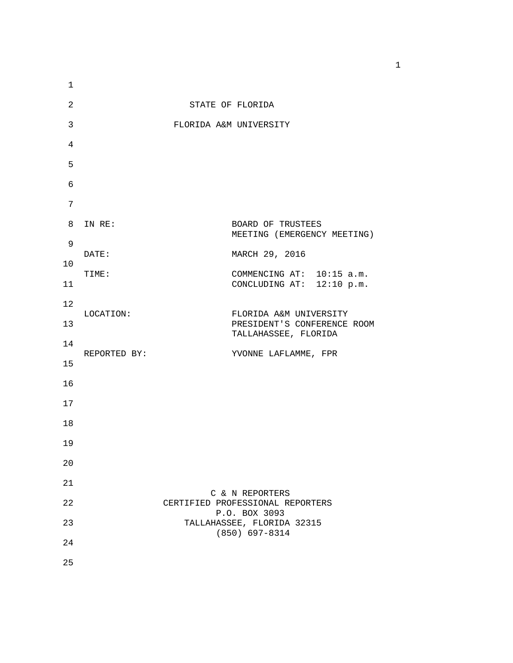| $\mathbf{1}$ |                        |                                                     |  |
|--------------|------------------------|-----------------------------------------------------|--|
| 2            | STATE OF FLORIDA       |                                                     |  |
| 3            | FLORIDA A&M UNIVERSITY |                                                     |  |
| 4            |                        |                                                     |  |
| 5            |                        |                                                     |  |
| 6            |                        |                                                     |  |
| 7            |                        |                                                     |  |
| 8            | IN RE:                 | BOARD OF TRUSTEES<br>MEETING (EMERGENCY MEETING)    |  |
| 9            | DATE:                  | MARCH 29, 2016                                      |  |
| 10           | TIME:                  | COMMENCING AT: 10:15 a.m.                           |  |
| 11           |                        | CONCLUDING AT: 12:10 p.m.                           |  |
| 12           | LOCATION:              | FLORIDA A&M UNIVERSITY                              |  |
| 13           |                        | PRESIDENT'S CONFERENCE ROOM<br>TALLAHASSEE, FLORIDA |  |
| 14           | REPORTED BY:           | YVONNE LAFLAMME, FPR                                |  |
| 15           |                        |                                                     |  |
| 16           |                        |                                                     |  |
| 17           |                        |                                                     |  |
| 18           |                        |                                                     |  |
| 19           |                        |                                                     |  |
| 20           |                        |                                                     |  |
| 21           |                        | C & N REPORTERS                                     |  |
| 22           |                        | CERTIFIED PROFESSIONAL REPORTERS<br>P.O. BOX 3093   |  |
| 23           |                        | TALLAHASSEE, FLORIDA 32315                          |  |
| 24           |                        | $(850)$ 697-8314                                    |  |
| 25           |                        |                                                     |  |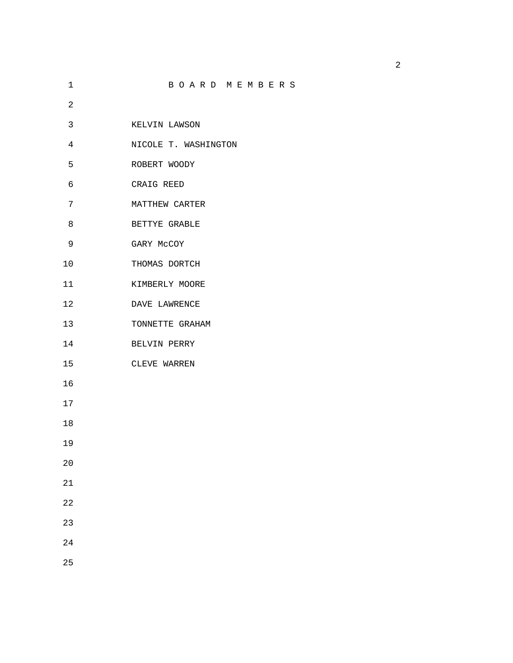| 1              | BOARD MEMBERS        |
|----------------|----------------------|
| $\overline{2}$ |                      |
| 3              | KELVIN LAWSON        |
| $\overline{4}$ | NICOLE T. WASHINGTON |
| 5              | ROBERT WOODY         |
| 6              | CRAIG REED           |
| 7              | MATTHEW CARTER       |
| 8              | BETTYE GRABLE        |
| 9              | GARY MCCOY           |
| 10             | THOMAS DORTCH        |
| 11             | KIMBERLY MOORE       |
| $12$           | DAVE LAWRENCE        |
| 13             | TONNETTE GRAHAM      |
| 14             | BELVIN PERRY         |
| 15             | CLEVE WARREN         |
| 16             |                      |
| 17             |                      |
| 18             |                      |
| 19             |                      |
| 20             |                      |
| 21             |                      |
| 22             |                      |
| 23             |                      |
| 24             |                      |
| 25             |                      |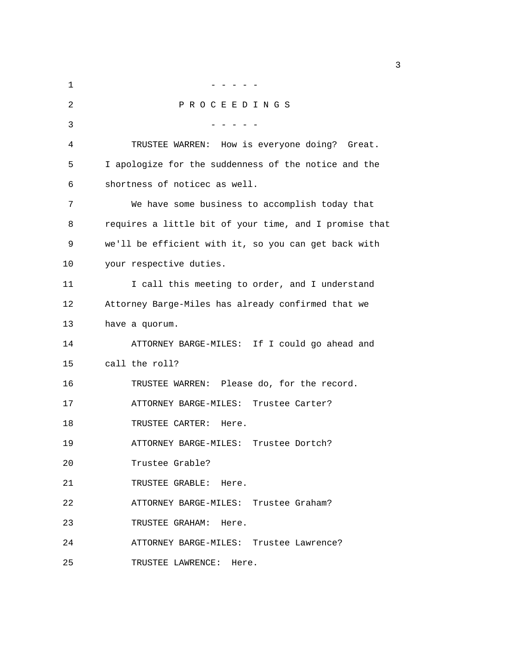$1$  -  $-$  -  $-$  -  $-$ 2 P R O C E E D I N G S 3 - - - - - 4 TRUSTEE WARREN: How is everyone doing? Great. 5 I apologize for the suddenness of the notice and the 6 shortness of noticec as well. 7 We have some business to accomplish today that 8 requires a little bit of your time, and I promise that 9 we'll be efficient with it, so you can get back with 10 your respective duties. 11 I call this meeting to order, and I understand 12 Attorney Barge-Miles has already confirmed that we 13 have a quorum. 14 ATTORNEY BARGE-MILES: If I could go ahead and 15 call the roll? 16 TRUSTEE WARREN: Please do, for the record. 17 ATTORNEY BARGE-MILES: Trustee Carter? 18 TRUSTEE CARTER: Here. 19 ATTORNEY BARGE-MILES: Trustee Dortch? 20 Trustee Grable? 21 TRUSTEE GRABLE: Here. 22 ATTORNEY BARGE-MILES: Trustee Graham? 23 TRUSTEE GRAHAM: Here. 24 ATTORNEY BARGE-MILES: Trustee Lawrence? 25 TRUSTEE LAWRENCE: Here.

 $\sim$  3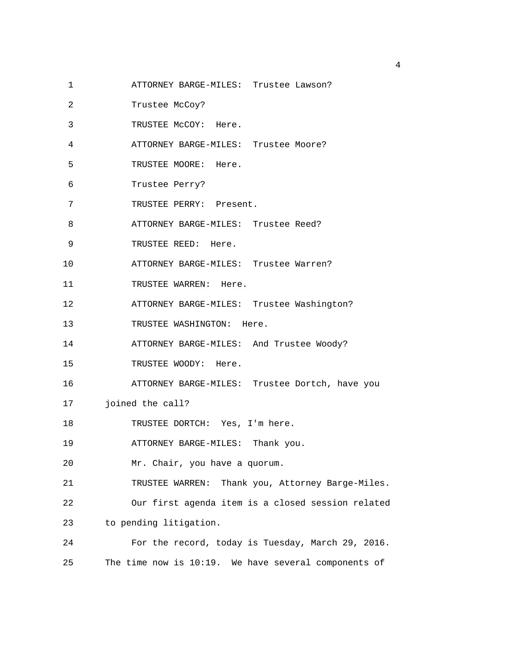- 1 ATTORNEY BARGE-MILES: Trustee Lawson?
- 2 Trustee McCoy?
- 3 TRUSTEE McCOY: Here.
- 4 ATTORNEY BARGE-MILES: Trustee Moore?
- 5 TRUSTEE MOORE: Here.
- 6 Trustee Perry?
- 7 TRUSTEE PERRY: Present.
- 8 **ATTORNEY BARGE-MILES:** Trustee Reed?
- 9 TRUSTEE REED: Here.
- 10 ATTORNEY BARGE-MILES: Trustee Warren?
- 11 TRUSTEE WARREN: Here.
- 12 ATTORNEY BARGE-MILES: Trustee Washington?
- 13 TRUSTEE WASHINGTON: Here.
- 14 ATTORNEY BARGE-MILES: And Trustee Woody?
- 15 TRUSTEE WOODY: Here.
- 16 ATTORNEY BARGE-MILES: Trustee Dortch, have you
- 17 joined the call?
- 18 TRUSTEE DORTCH: Yes, I'm here.
- 19 ATTORNEY BARGE-MILES: Thank you.
- 20 Mr. Chair, you have a quorum.

21 TRUSTEE WARREN: Thank you, Attorney Barge-Miles. 22 Our first agenda item is a closed session related

- 23 to pending litigation.
- 24 For the record, today is Tuesday, March 29, 2016. 25 The time now is 10:19. We have several components of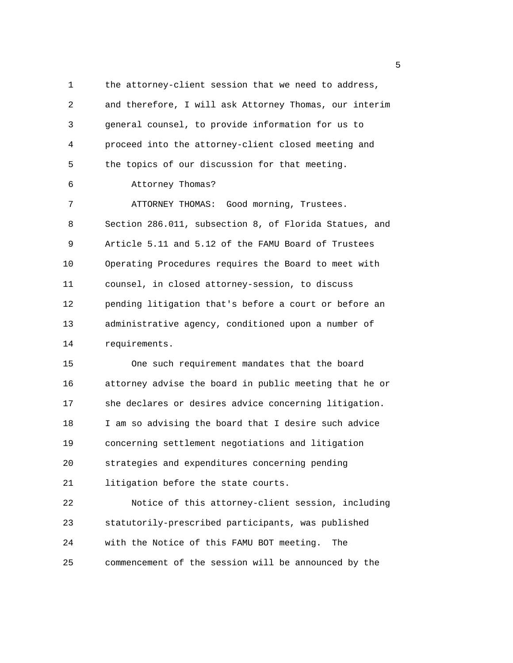1 the attorney-client session that we need to address, 2 and therefore, I will ask Attorney Thomas, our interim 3 general counsel, to provide information for us to 4 proceed into the attorney-client closed meeting and 5 the topics of our discussion for that meeting. 6 Attorney Thomas? 7 ATTORNEY THOMAS: Good morning, Trustees. 8 Section 286.011, subsection 8, of Florida Statues, and 9 Article 5.11 and 5.12 of the FAMU Board of Trustees 10 Operating Procedures requires the Board to meet with 11 counsel, in closed attorney-session, to discuss 12 pending litigation that's before a court or before an 13 administrative agency, conditioned upon a number of 14 requirements. 15 One such requirement mandates that the board 16 attorney advise the board in public meeting that he or 17 she declares or desires advice concerning litigation. 18 I am so advising the board that I desire such advice 19 concerning settlement negotiations and litigation 20 strategies and expenditures concerning pending 21 litigation before the state courts. 22 Notice of this attorney-client session, including 23 statutorily-prescribed participants, was published 24 with the Notice of this FAMU BOT meeting. The 25 commencement of the session will be announced by the

the contract of the contract of the contract of the contract of the contract of the contract of the contract o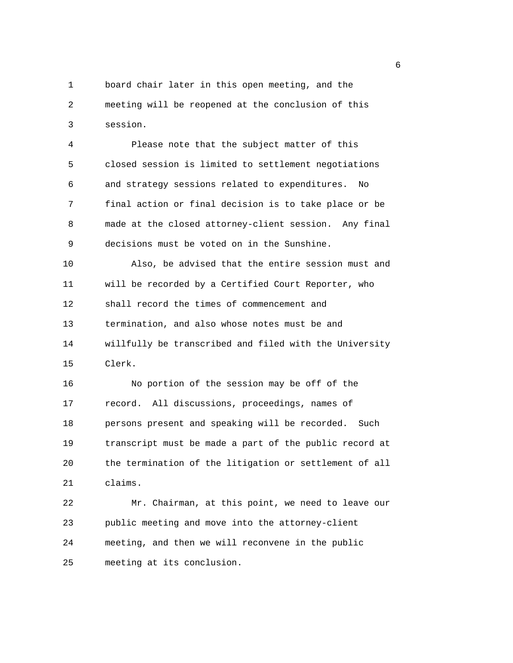1 board chair later in this open meeting, and the 2 meeting will be reopened at the conclusion of this 3 session.

4 Please note that the subject matter of this 5 closed session is limited to settlement negotiations 6 and strategy sessions related to expenditures. No 7 final action or final decision is to take place or be 8 made at the closed attorney-client session. Any final 9 decisions must be voted on in the Sunshine.

10 Also, be advised that the entire session must and 11 will be recorded by a Certified Court Reporter, who 12 shall record the times of commencement and 13 termination, and also whose notes must be and 14 willfully be transcribed and filed with the University 15 Clerk.

16 No portion of the session may be off of the 17 record. All discussions, proceedings, names of 18 persons present and speaking will be recorded. Such 19 transcript must be made a part of the public record at 20 the termination of the litigation or settlement of all 21 claims.

22 Mr. Chairman, at this point, we need to leave our 23 public meeting and move into the attorney-client 24 meeting, and then we will reconvene in the public 25 meeting at its conclusion.

en de la construction de la construction de la construction de la construction de la construction de la constr<br>La construction de la construction de la construction de la construction de la construction de la construction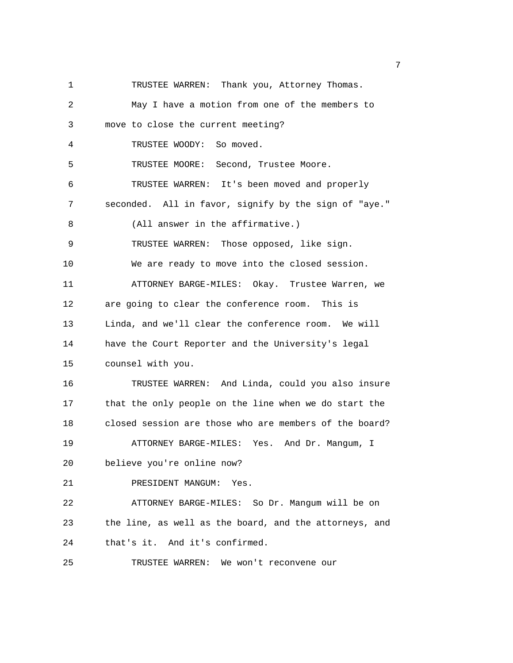1 TRUSTEE WARREN: Thank you, Attorney Thomas. 2 May I have a motion from one of the members to 3 move to close the current meeting? 4 TRUSTEE WOODY: So moved. 5 TRUSTEE MOORE: Second, Trustee Moore. 6 TRUSTEE WARREN: It's been moved and properly 7 seconded. All in favor, signify by the sign of "aye." 8 (All answer in the affirmative.) 9 TRUSTEE WARREN: Those opposed, like sign. 10 We are ready to move into the closed session. 11 ATTORNEY BARGE-MILES: Okay. Trustee Warren, we 12 are going to clear the conference room. This is 13 Linda, and we'll clear the conference room. We will 14 have the Court Reporter and the University's legal 15 counsel with you. 16 TRUSTEE WARREN: And Linda, could you also insure 17 that the only people on the line when we do start the 18 closed session are those who are members of the board? 19 ATTORNEY BARGE-MILES: Yes. And Dr. Mangum, I 20 believe you're online now? 21 PRESIDENT MANGUM: Yes. 22 ATTORNEY BARGE-MILES: So Dr. Mangum will be on 23 the line, as well as the board, and the attorneys, and 24 that's it. And it's confirmed. 25 TRUSTEE WARREN: We won't reconvene our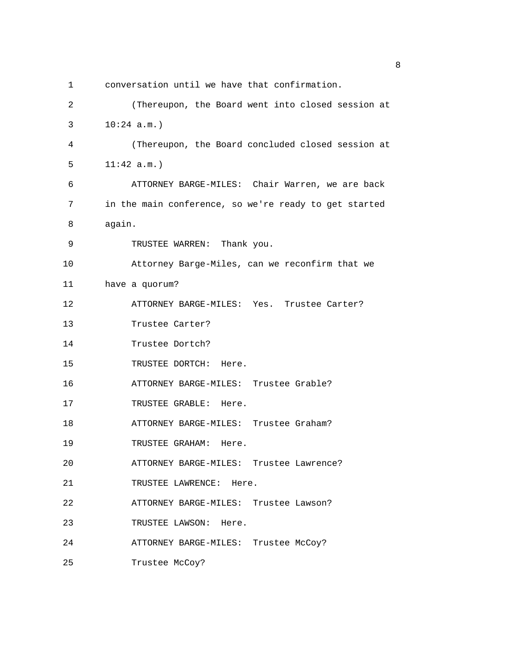| 1  | conversation until we have that confirmation.         |
|----|-------------------------------------------------------|
| 2  | (Thereupon, the Board went into closed session at     |
| 3  | $10:24$ a.m.)                                         |
| 4  | (Thereupon, the Board concluded closed session at     |
| 5  | 11:42 a.m.                                            |
| 6  | ATTORNEY BARGE-MILES: Chair Warren, we are back       |
| 7  | in the main conference, so we're ready to get started |
| 8  | again.                                                |
| 9  | TRUSTEE WARREN: Thank you.                            |
| 10 | Attorney Barge-Miles, can we reconfirm that we        |
| 11 | have a quorum?                                        |
| 12 | ATTORNEY BARGE-MILES: Yes. Trustee Carter?            |
| 13 | Trustee Carter?                                       |
| 14 | Trustee Dortch?                                       |
| 15 | TRUSTEE DORTCH: Here.                                 |
| 16 | ATTORNEY BARGE-MILES: Trustee Grable?                 |
| 17 | TRUSTEE GRABLE: Here.                                 |
| 18 | ATTORNEY BARGE-MILES: Trustee Graham?                 |
| 19 | TRUSTEE GRAHAM: Here.                                 |
| 20 | ATTORNEY BARGE-MILES: Trustee Lawrence?               |
| 21 | TRUSTEE LAWRENCE: Here.                               |
| 22 | ATTORNEY BARGE-MILES: Trustee Lawson?                 |
| 23 | TRUSTEE LAWSON: Here.                                 |
| 24 | ATTORNEY BARGE-MILES: Trustee McCoy?                  |
| 25 | Trustee McCoy?                                        |

en andere en de la provincia de la provincia de la provincia de la provincia de la provincia de la provincia d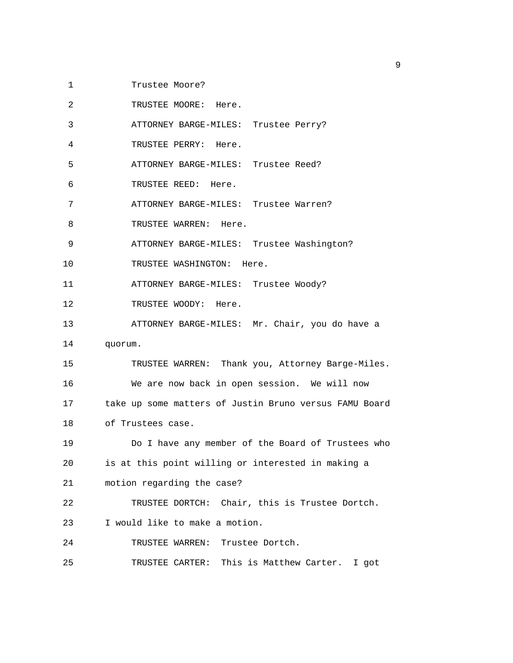1 Trustee Moore?

2 TRUSTEE MOORE: Here.

3 ATTORNEY BARGE-MILES: Trustee Perry?

4 TRUSTEE PERRY: Here.

5 ATTORNEY BARGE-MILES: Trustee Reed?

6 TRUSTEE REED: Here.

7 ATTORNEY BARGE-MILES: Trustee Warren?

8 TRUSTEE WARREN: Here.

9 ATTORNEY BARGE-MILES: Trustee Washington?

10 TRUSTEE WASHINGTON: Here.

11 ATTORNEY BARGE-MILES: Trustee Woody?

12 TRUSTEE WOODY: Here.

13 ATTORNEY BARGE-MILES: Mr. Chair, you do have a

14 quorum.

15 TRUSTEE WARREN: Thank you, Attorney Barge-Miles. 16 We are now back in open session. We will now 17 take up some matters of Justin Bruno versus FAMU Board 18 of Trustees case.

19 Do I have any member of the Board of Trustees who 20 is at this point willing or interested in making a 21 motion regarding the case?

22 TRUSTEE DORTCH: Chair, this is Trustee Dortch. 23 I would like to make a motion.

24 TRUSTEE WARREN: Trustee Dortch.

25 TRUSTEE CARTER: This is Matthew Carter. I got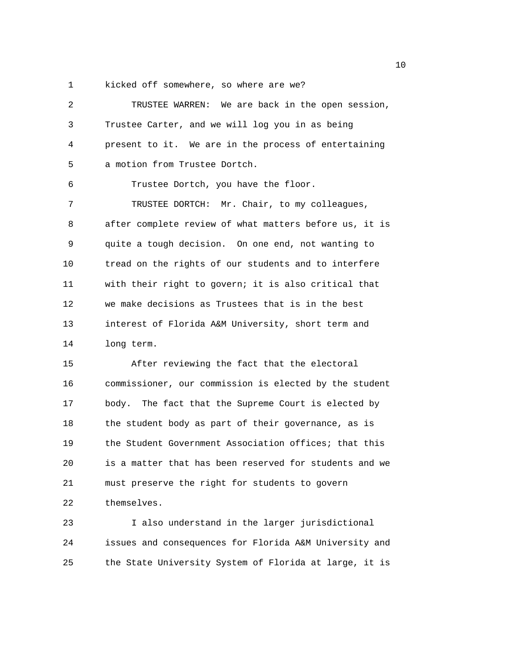1 kicked off somewhere, so where are we?

| 2  | TRUSTEE WARREN: We are back in the open session,       |
|----|--------------------------------------------------------|
| 3  | Trustee Carter, and we will log you in as being        |
| 4  | present to it. We are in the process of entertaining   |
| 5  | a motion from Trustee Dortch.                          |
| 6  | Trustee Dortch, you have the floor.                    |
| 7  | TRUSTEE DORTCH: Mr. Chair, to my colleagues,           |
| 8  | after complete review of what matters before us, it is |
| 9  | quite a tough decision. On one end, not wanting to     |
| 10 | tread on the rights of our students and to interfere   |
| 11 | with their right to govern; it is also critical that   |
| 12 | we make decisions as Trustees that is in the best      |
| 13 | interest of Florida A&M University, short term and     |
| 14 | long term.                                             |
| 15 | After reviewing the fact that the electoral            |
| 16 | commissioner, our commission is elected by the student |
| 17 | body. The fact that the Supreme Court is elected by    |
| 18 | the student body as part of their governance, as is    |
| 19 | the Student Government Association offices; that this  |
| 20 | is a matter that has been reserved for students and we |
| 21 | must preserve the right for students to govern         |
| 22 | themselves.                                            |

23 I also understand in the larger jurisdictional 24 issues and consequences for Florida A&M University and 25 the State University System of Florida at large, it is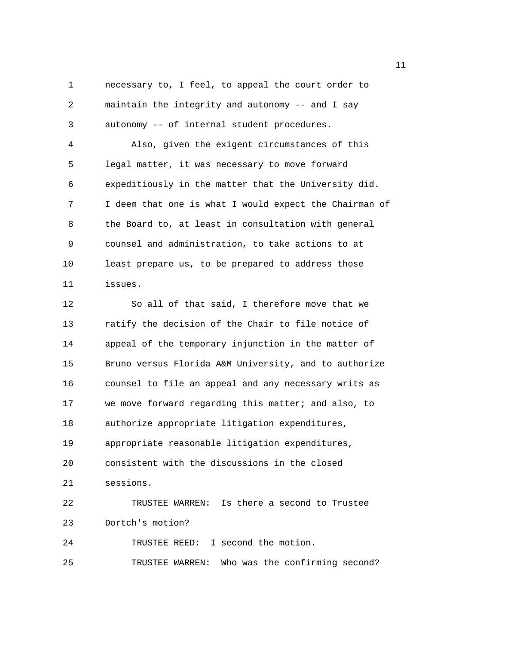1 necessary to, I feel, to appeal the court order to 2 maintain the integrity and autonomy -- and I say 3 autonomy -- of internal student procedures. 4 Also, given the exigent circumstances of this 5 legal matter, it was necessary to move forward 6 expeditiously in the matter that the University did. 7 I deem that one is what I would expect the Chairman of 8 the Board to, at least in consultation with general 9 counsel and administration, to take actions to at 10 least prepare us, to be prepared to address those 11 issues. 12 So all of that said, I therefore move that we 13 ratify the decision of the Chair to file notice of 14 appeal of the temporary injunction in the matter of 15 Bruno versus Florida A&M University, and to authorize 16 counsel to file an appeal and any necessary writs as 17 we move forward regarding this matter; and also, to 18 authorize appropriate litigation expenditures, 19 appropriate reasonable litigation expenditures, 20 consistent with the discussions in the closed 21 sessions. 22 TRUSTEE WARREN: Is there a second to Trustee 23 Dortch's motion? 24 TRUSTEE REED: I second the motion. 25 TRUSTEE WARREN: Who was the confirming second?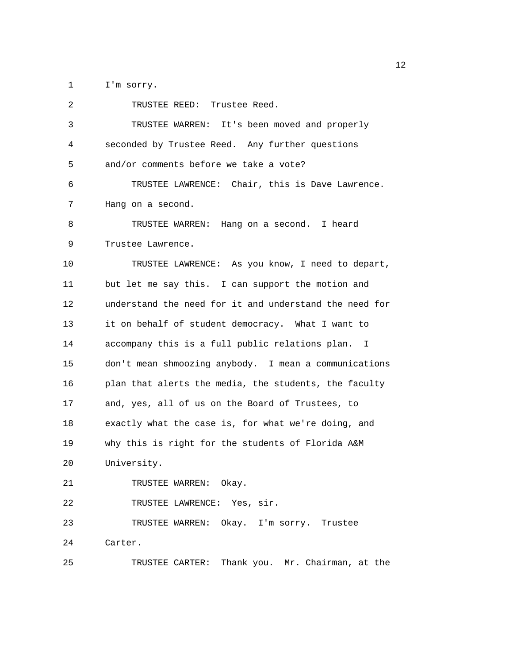1 I'm sorry.

| 2  | TRUSTEE REED: Trustee Reed.                            |  |
|----|--------------------------------------------------------|--|
| 3  | TRUSTEE WARREN: It's been moved and properly           |  |
| 4  | seconded by Trustee Reed. Any further questions        |  |
| 5  | and/or comments before we take a vote?                 |  |
| 6  | TRUSTEE LAWRENCE: Chair, this is Dave Lawrence.        |  |
| 7  | Hang on a second.                                      |  |
| 8  | TRUSTEE WARREN: Hang on a second. I heard              |  |
| 9  | Trustee Lawrence.                                      |  |
| 10 | TRUSTEE LAWRENCE: As you know, I need to depart,       |  |
| 11 | but let me say this. I can support the motion and      |  |
| 12 | understand the need for it and understand the need for |  |
| 13 | it on behalf of student democracy. What I want to      |  |
| 14 | accompany this is a full public relations plan. I      |  |
| 15 | don't mean shmoozing anybody. I mean a communications  |  |
| 16 | plan that alerts the media, the students, the faculty  |  |
| 17 | and, yes, all of us on the Board of Trustees, to       |  |
| 18 | exactly what the case is, for what we're doing, and    |  |
| 19 | why this is right for the students of Florida A&M      |  |
| 20 | University.                                            |  |
| 21 | TRUSTEE WARREN: Okay.                                  |  |
| 22 | TRUSTEE LAWRENCE: Yes, sir.                            |  |
| 23 | TRUSTEE WARREN: Okay. I'm sorry. Trustee               |  |
| 24 | Carter.                                                |  |
| 25 | TRUSTEE CARTER: Thank you. Mr. Chairman, at the        |  |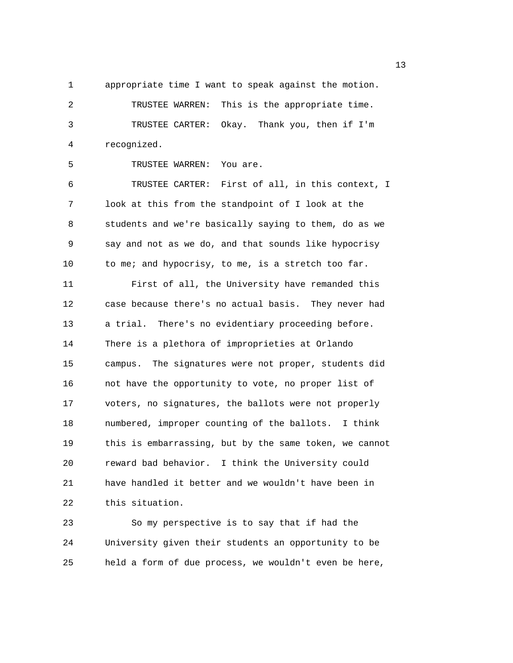1 appropriate time I want to speak against the motion.

2 TRUSTEE WARREN: This is the appropriate time. 3 TRUSTEE CARTER: Okay. Thank you, then if I'm 4 recognized.

5 TRUSTEE WARREN: You are.

6 TRUSTEE CARTER: First of all, in this context, I 7 look at this from the standpoint of I look at the 8 students and we're basically saying to them, do as we 9 say and not as we do, and that sounds like hypocrisy 10 to me; and hypocrisy, to me, is a stretch too far.

11 First of all, the University have remanded this 12 case because there's no actual basis. They never had 13 a trial. There's no evidentiary proceeding before. 14 There is a plethora of improprieties at Orlando 15 campus. The signatures were not proper, students did 16 not have the opportunity to vote, no proper list of 17 voters, no signatures, the ballots were not properly 18 numbered, improper counting of the ballots. I think 19 this is embarrassing, but by the same token, we cannot 20 reward bad behavior. I think the University could 21 have handled it better and we wouldn't have been in 22 this situation.

23 So my perspective is to say that if had the 24 University given their students an opportunity to be 25 held a form of due process, we wouldn't even be here,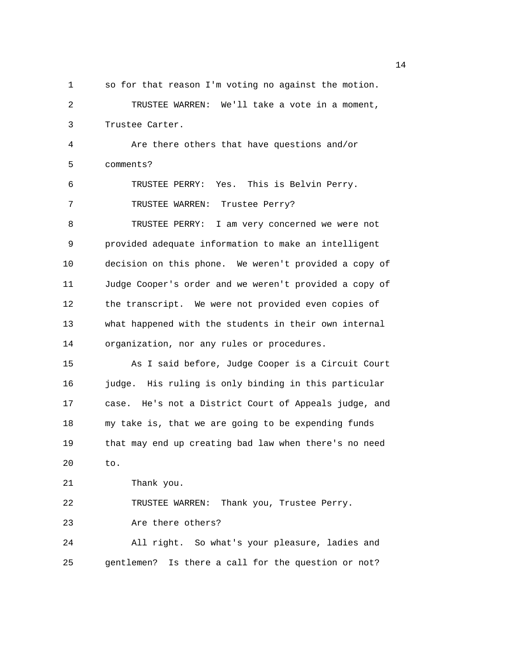1 so for that reason I'm voting no against the motion. 2 TRUSTEE WARREN: We'll take a vote in a moment, 3 Trustee Carter. 4 Are there others that have questions and/or 5 comments? 6 TRUSTEE PERRY: Yes. This is Belvin Perry. 7 TRUSTEE WARREN: Trustee Perry? 8 TRUSTEE PERRY: I am very concerned we were not 9 provided adequate information to make an intelligent 10 decision on this phone. We weren't provided a copy of 11 Judge Cooper's order and we weren't provided a copy of 12 the transcript. We were not provided even copies of 13 what happened with the students in their own internal 14 organization, nor any rules or procedures. 15 As I said before, Judge Cooper is a Circuit Court 16 judge. His ruling is only binding in this particular 17 case. He's not a District Court of Appeals judge, and 18 my take is, that we are going to be expending funds 19 that may end up creating bad law when there's no need 20 to. 21 Thank you. 22 TRUSTEE WARREN: Thank you, Trustee Perry. 23 Are there others? 24 All right. So what's your pleasure, ladies and 25 gentlemen? Is there a call for the question or not?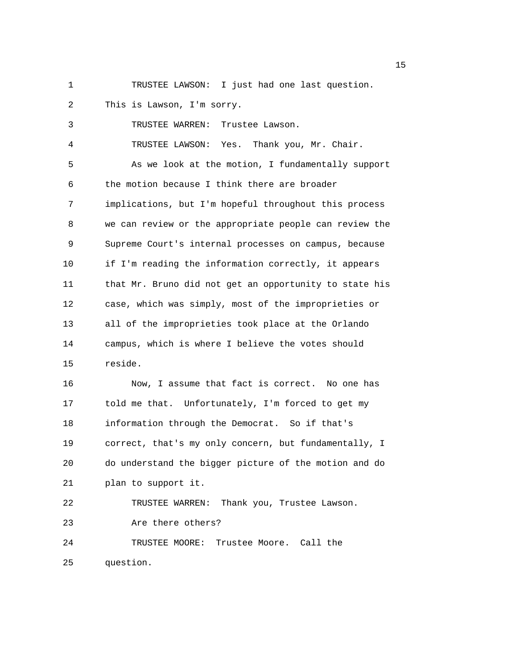- 
- 1 TRUSTEE LAWSON: I just had one last question.

| 2  | This is Lawson, I'm sorry.                             |
|----|--------------------------------------------------------|
| 3  | TRUSTEE WARREN:<br>Trustee Lawson.                     |
| 4  | TRUSTEE LAWSON: Yes. Thank you, Mr. Chair.             |
| 5  | As we look at the motion, I fundamentally support      |
| 6  | the motion because I think there are broader           |
| 7  | implications, but I'm hopeful throughout this process  |
| 8  | we can review or the appropriate people can review the |
| 9  | Supreme Court's internal processes on campus, because  |
| 10 | if I'm reading the information correctly, it appears   |
| 11 | that Mr. Bruno did not get an opportunity to state his |
| 12 | case, which was simply, most of the improprieties or   |
| 13 | all of the improprieties took place at the Orlando     |
| 14 | campus, which is where I believe the votes should      |
| 15 | reside.                                                |
| 16 | Now, I assume that fact is correct. No one has         |
| 17 | told me that. Unfortunately, I'm forced to get my      |
| 18 | information through the Democrat. So if that's         |

19 correct, that's my only concern, but fundamentally, I 20 do understand the bigger picture of the motion and do 21 plan to support it.

22 TRUSTEE WARREN: Thank you, Trustee Lawson. 23 Are there others? 24 TRUSTEE MOORE: Trustee Moore. Call the

25 question.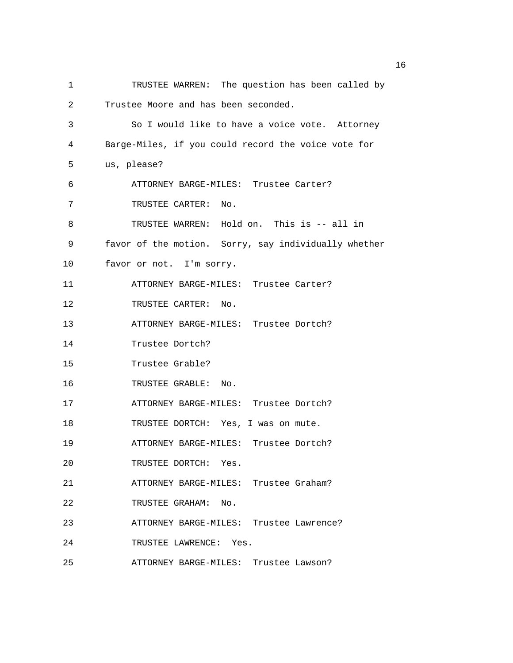1 TRUSTEE WARREN: The question has been called by 2 Trustee Moore and has been seconded. 3 So I would like to have a voice vote. Attorney 4 Barge-Miles, if you could record the voice vote for 5 us, please? 6 ATTORNEY BARGE-MILES: Trustee Carter? 7 TRUSTEE CARTER: No. 8 TRUSTEE WARREN: Hold on. This is -- all in 9 favor of the motion. Sorry, say individually whether 10 favor or not. I'm sorry. 11 ATTORNEY BARGE-MILES: Trustee Carter? 12 TRUSTEE CARTER: No. 13 ATTORNEY BARGE-MILES: Trustee Dortch? 14 Trustee Dortch? 15 Trustee Grable? 16 TRUSTEE GRABLE: No. 17 ATTORNEY BARGE-MILES: Trustee Dortch? 18 TRUSTEE DORTCH: Yes, I was on mute. 19 ATTORNEY BARGE-MILES: Trustee Dortch? 20 TRUSTEE DORTCH: Yes. 21 ATTORNEY BARGE-MILES: Trustee Graham? 22 TRUSTEE GRAHAM: No. 23 ATTORNEY BARGE-MILES: Trustee Lawrence? 24 TRUSTEE LAWRENCE: Yes. 25 ATTORNEY BARGE-MILES: Trustee Lawson?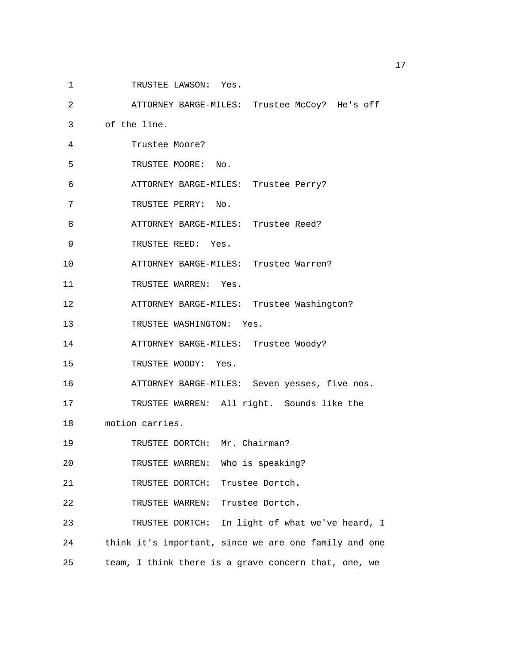1 TRUSTEE LAWSON: Yes.

2 ATTORNEY BARGE-MILES: Trustee McCoy? He's off

3 of the line.

| Trustee Moore? |  |
|----------------|--|
|                |  |

5 TRUSTEE MOORE: No.

6 ATTORNEY BARGE-MILES: Trustee Perry?

7 TRUSTEE PERRY: No.

8 ATTORNEY BARGE-MILES: Trustee Reed?

9 TRUSTEE REED: Yes.

10 ATTORNEY BARGE-MILES: Trustee Warren?

11 TRUSTEE WARREN: Yes.

12 ATTORNEY BARGE-MILES: Trustee Washington?

13 TRUSTEE WASHINGTON: Yes.

14 ATTORNEY BARGE-MILES: Trustee Woody?

15 TRUSTEE WOODY: Yes.

16 ATTORNEY BARGE-MILES: Seven yesses, five nos.

17 TRUSTEE WARREN: All right. Sounds like the

18 motion carries.

19 TRUSTEE DORTCH: Mr. Chairman?

20 TRUSTEE WARREN: Who is speaking?

21 TRUSTEE DORTCH: Trustee Dortch.

22 TRUSTEE WARREN: Trustee Dortch.

23 TRUSTEE DORTCH: In light of what we've heard, I 24 think it's important, since we are one family and one 25 team, I think there is a grave concern that, one, we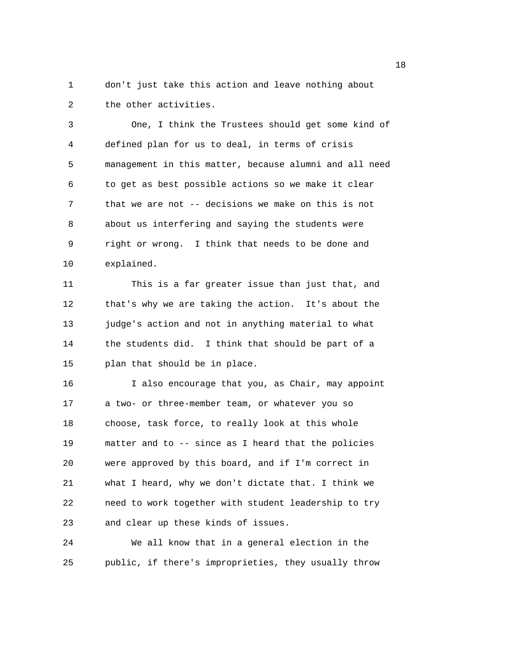1 don't just take this action and leave nothing about 2 the other activities.

3 One, I think the Trustees should get some kind of 4 defined plan for us to deal, in terms of crisis 5 management in this matter, because alumni and all need 6 to get as best possible actions so we make it clear 7 that we are not -- decisions we make on this is not 8 about us interfering and saying the students were 9 right or wrong. I think that needs to be done and 10 explained.

11 This is a far greater issue than just that, and 12 that's why we are taking the action. It's about the 13 judge's action and not in anything material to what 14 the students did. I think that should be part of a 15 plan that should be in place.

16 I also encourage that you, as Chair, may appoint 17 a two- or three-member team, or whatever you so 18 choose, task force, to really look at this whole 19 matter and to -- since as I heard that the policies 20 were approved by this board, and if I'm correct in 21 what I heard, why we don't dictate that. I think we 22 need to work together with student leadership to try 23 and clear up these kinds of issues.

24 We all know that in a general election in the 25 public, if there's improprieties, they usually throw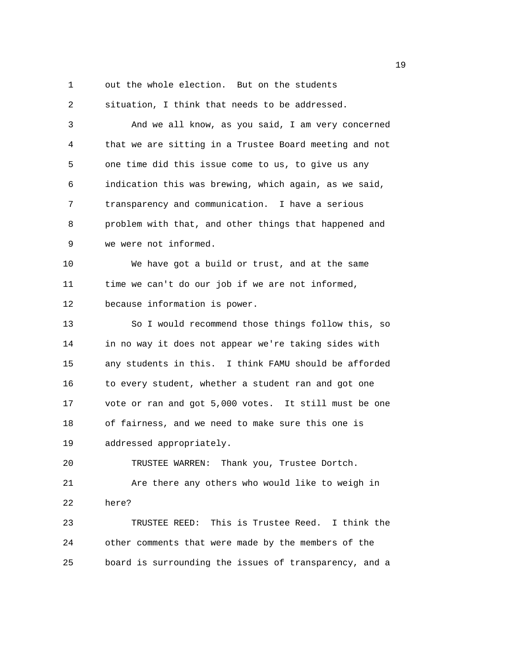1 out the whole election. But on the students

2 situation, I think that needs to be addressed. 3 And we all know, as you said, I am very concerned 4 that we are sitting in a Trustee Board meeting and not 5 one time did this issue come to us, to give us any 6 indication this was brewing, which again, as we said, 7 transparency and communication. I have a serious 8 problem with that, and other things that happened and 9 we were not informed.

10 We have got a build or trust, and at the same 11 time we can't do our job if we are not informed, 12 because information is power.

13 So I would recommend those things follow this, so 14 in no way it does not appear we're taking sides with 15 any students in this. I think FAMU should be afforded 16 to every student, whether a student ran and got one 17 vote or ran and got 5,000 votes. It still must be one 18 of fairness, and we need to make sure this one is 19 addressed appropriately.

20 TRUSTEE WARREN: Thank you, Trustee Dortch. 21 Are there any others who would like to weigh in 22 here?

23 TRUSTEE REED: This is Trustee Reed. I think the 24 other comments that were made by the members of the 25 board is surrounding the issues of transparency, and a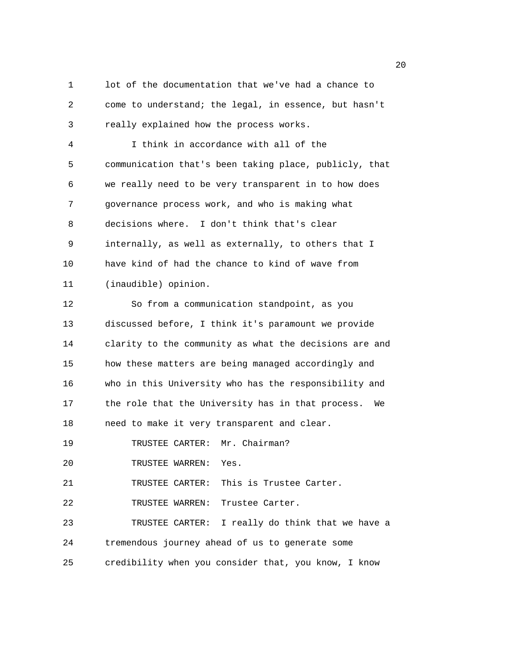1 lot of the documentation that we've had a chance to 2 come to understand; the legal, in essence, but hasn't 3 really explained how the process works. 4 I think in accordance with all of the 5 communication that's been taking place, publicly, that 6 we really need to be very transparent in to how does 7 governance process work, and who is making what 8 decisions where. I don't think that's clear 9 internally, as well as externally, to others that I 10 have kind of had the chance to kind of wave from 11 (inaudible) opinion. 12 So from a communication standpoint, as you 13 discussed before, I think it's paramount we provide 14 clarity to the community as what the decisions are and 15 how these matters are being managed accordingly and 16 who in this University who has the responsibility and 17 the role that the University has in that process. We 18 need to make it very transparent and clear. 19 TRUSTEE CARTER: Mr. Chairman? 20 TRUSTEE WARREN: Yes. 21 TRUSTEE CARTER: This is Trustee Carter. 22 TRUSTEE WARREN: Trustee Carter. 23 TRUSTEE CARTER: I really do think that we have a 24 tremendous journey ahead of us to generate some 25 credibility when you consider that, you know, I know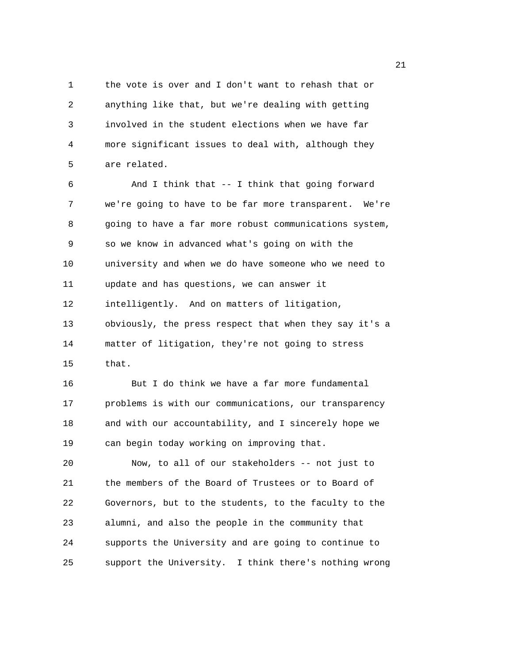1 the vote is over and I don't want to rehash that or 2 anything like that, but we're dealing with getting 3 involved in the student elections when we have far 4 more significant issues to deal with, although they 5 are related.

6 And I think that -- I think that going forward 7 we're going to have to be far more transparent. We're 8 going to have a far more robust communications system, 9 so we know in advanced what's going on with the 10 university and when we do have someone who we need to 11 update and has questions, we can answer it 12 intelligently. And on matters of litigation, 13 obviously, the press respect that when they say it's a 14 matter of litigation, they're not going to stress 15 that.

16 But I do think we have a far more fundamental 17 problems is with our communications, our transparency 18 and with our accountability, and I sincerely hope we 19 can begin today working on improving that.

20 Now, to all of our stakeholders -- not just to 21 the members of the Board of Trustees or to Board of 22 Governors, but to the students, to the faculty to the 23 alumni, and also the people in the community that 24 supports the University and are going to continue to 25 support the University. I think there's nothing wrong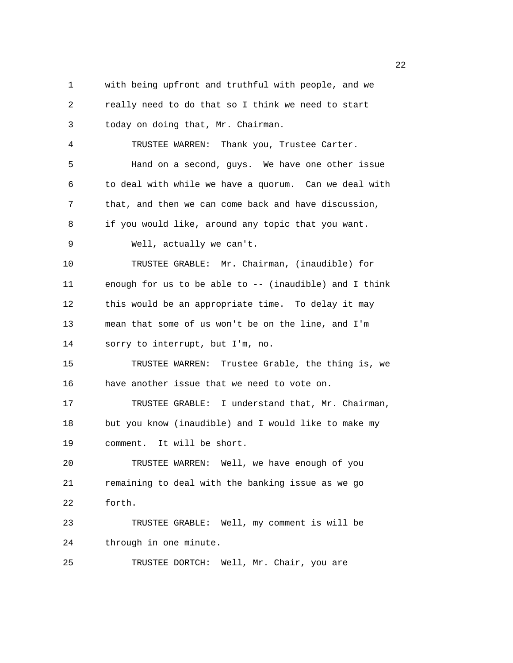1 with being upfront and truthful with people, and we 2 really need to do that so I think we need to start 3 today on doing that, Mr. Chairman. 4 TRUSTEE WARREN: Thank you, Trustee Carter. 5 Hand on a second, guys. We have one other issue 6 to deal with while we have a quorum. Can we deal with 7 that, and then we can come back and have discussion, 8 if you would like, around any topic that you want. 9 Well, actually we can't. 10 TRUSTEE GRABLE: Mr. Chairman, (inaudible) for 11 enough for us to be able to -- (inaudible) and I think 12 this would be an appropriate time. To delay it may 13 mean that some of us won't be on the line, and I'm 14 sorry to interrupt, but I'm, no. 15 TRUSTEE WARREN: Trustee Grable, the thing is, we 16 have another issue that we need to vote on. 17 TRUSTEE GRABLE: I understand that, Mr. Chairman, 18 but you know (inaudible) and I would like to make my 19 comment. It will be short. 20 TRUSTEE WARREN: Well, we have enough of you 21 remaining to deal with the banking issue as we go 22 forth. 23 TRUSTEE GRABLE: Well, my comment is will be 24 through in one minute. 25 TRUSTEE DORTCH: Well, Mr. Chair, you are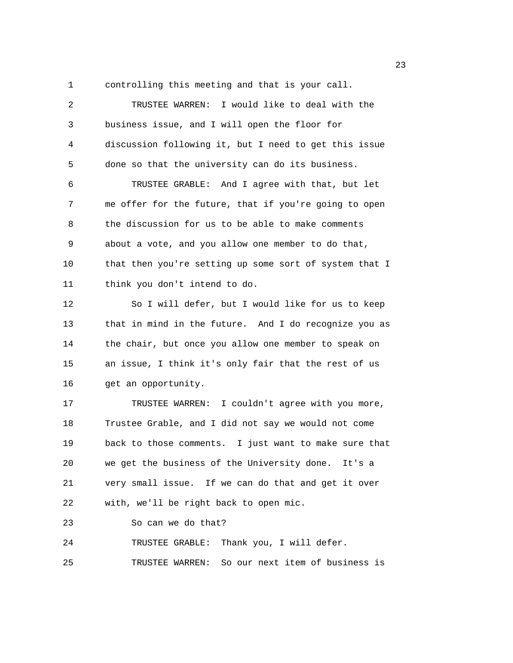1 controlling this meeting and that is your call.

2 TRUSTEE WARREN: I would like to deal with the 3 business issue, and I will open the floor for 4 discussion following it, but I need to get this issue 5 done so that the university can do its business. 6 TRUSTEE GRABLE: And I agree with that, but let 7 me offer for the future, that if you're going to open 8 the discussion for us to be able to make comments 9 about a vote, and you allow one member to do that, 10 that then you're setting up some sort of system that I 11 think you don't intend to do. 12 So I will defer, but I would like for us to keep 13 that in mind in the future. And I do recognize you as 14 the chair, but once you allow one member to speak on 15 an issue, I think it's only fair that the rest of us 16 get an opportunity. 17 TRUSTEE WARREN: I couldn't agree with you more, 18 Trustee Grable, and I did not say we would not come 19 back to those comments. I just want to make sure that 20 we get the business of the University done. It's a 21 very small issue. If we can do that and get it over 22 with, we'll be right back to open mic. 23 So can we do that? 24 TRUSTEE GRABLE: Thank you, I will defer. 25 TRUSTEE WARREN: So our next item of business is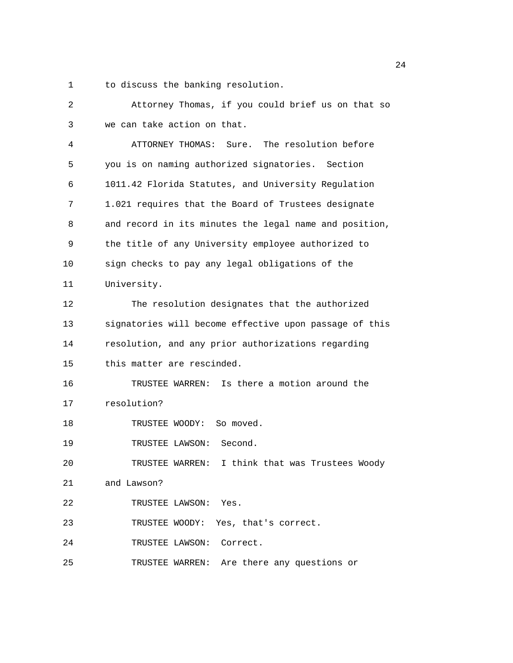1 to discuss the banking resolution.

| 2  | Attorney Thomas, if you could brief us on that so      |
|----|--------------------------------------------------------|
| 3  | we can take action on that.                            |
| 4  | ATTORNEY THOMAS: Sure. The resolution before           |
| 5  | you is on naming authorized signatories. Section       |
| 6  | 1011.42 Florida Statutes, and University Regulation    |
| 7  | 1.021 requires that the Board of Trustees designate    |
| 8  | and record in its minutes the legal name and position, |
| 9  | the title of any University employee authorized to     |
| 10 | sign checks to pay any legal obligations of the        |
| 11 | University.                                            |
| 12 | The resolution designates that the authorized          |
| 13 | signatories will become effective upon passage of this |
| 14 | resolution, and any prior authorizations regarding     |
| 15 | this matter are rescinded.                             |
| 16 | TRUSTEE WARREN: Is there a motion around the           |
| 17 | resolution?                                            |
| 18 | So moved.<br>TRUSTEE WOODY:                            |
| 19 | Second.<br>TRUSTEE LAWSON:                             |
| 20 | I think that was Trustees Woody<br>TRUSTEE WARREN:     |
| 21 | and Lawson?                                            |
| 22 | TRUSTEE LAWSON: Yes.                                   |
| 23 | TRUSTEE WOODY: Yes, that's correct.                    |
| 24 | TRUSTEE LAWSON: Correct.                               |
| 25 | TRUSTEE WARREN: Are there any questions or             |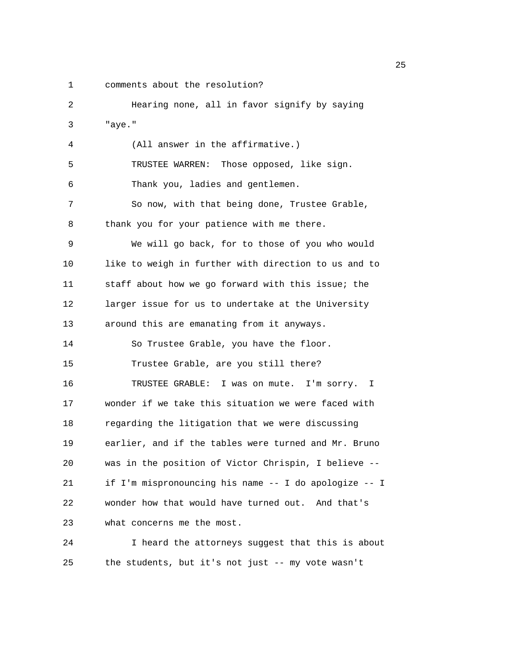1 comments about the resolution?

2 Hearing none, all in favor signify by saying 3 "aye." 4 (All answer in the affirmative.) 5 TRUSTEE WARREN: Those opposed, like sign. 6 Thank you, ladies and gentlemen. 7 So now, with that being done, Trustee Grable, 8 thank you for your patience with me there. 9 We will go back, for to those of you who would 10 like to weigh in further with direction to us and to 11 staff about how we go forward with this issue; the 12 larger issue for us to undertake at the University 13 around this are emanating from it anyways. 14 So Trustee Grable, you have the floor. 15 Trustee Grable, are you still there? 16 TRUSTEE GRABLE: I was on mute. I'm sorry. I 17 wonder if we take this situation we were faced with 18 regarding the litigation that we were discussing 19 earlier, and if the tables were turned and Mr. Bruno 20 was in the position of Victor Chrispin, I believe -- 21 if I'm mispronouncing his name -- I do apologize -- I 22 wonder how that would have turned out. And that's 23 what concerns me the most. 24 I heard the attorneys suggest that this is about

25 the students, but it's not just -- my vote wasn't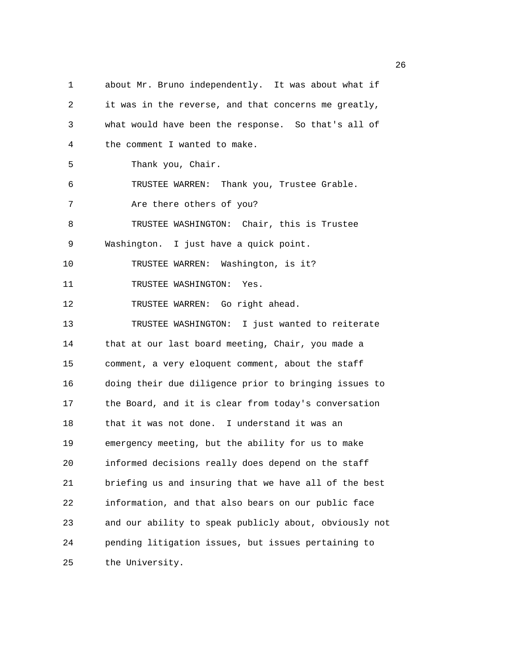1 about Mr. Bruno independently. It was about what if 2 it was in the reverse, and that concerns me greatly, 3 what would have been the response. So that's all of 4 the comment I wanted to make. 5 Thank you, Chair. 6 TRUSTEE WARREN: Thank you, Trustee Grable. 7 Are there others of you? 8 TRUSTEE WASHINGTON: Chair, this is Trustee 9 Washington. I just have a quick point. 10 TRUSTEE WARREN: Washington, is it? 11 TRUSTEE WASHINGTON: Yes. 12 TRUSTEE WARREN: Go right ahead. 13 TRUSTEE WASHINGTON: I just wanted to reiterate 14 that at our last board meeting, Chair, you made a 15 comment, a very eloquent comment, about the staff 16 doing their due diligence prior to bringing issues to 17 the Board, and it is clear from today's conversation 18 that it was not done. I understand it was an 19 emergency meeting, but the ability for us to make 20 informed decisions really does depend on the staff 21 briefing us and insuring that we have all of the best 22 information, and that also bears on our public face 23 and our ability to speak publicly about, obviously not 24 pending litigation issues, but issues pertaining to 25 the University.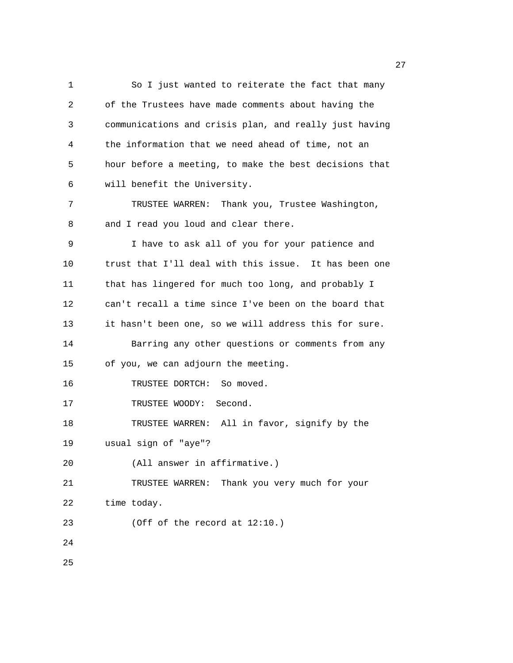1 So I just wanted to reiterate the fact that many 2 of the Trustees have made comments about having the 3 communications and crisis plan, and really just having 4 the information that we need ahead of time, not an 5 hour before a meeting, to make the best decisions that 6 will benefit the University. 7 TRUSTEE WARREN: Thank you, Trustee Washington, 8 and I read you loud and clear there. 9 I have to ask all of you for your patience and 10 trust that I'll deal with this issue. It has been one 11 that has lingered for much too long, and probably I 12 can't recall a time since I've been on the board that 13 it hasn't been one, so we will address this for sure. 14 Barring any other questions or comments from any 15 of you, we can adjourn the meeting. 16 TRUSTEE DORTCH: So moved. 17 TRUSTEE WOODY: Second. 18 TRUSTEE WARREN: All in favor, signify by the 19 usual sign of "aye"? 20 (All answer in affirmative.) 21 TRUSTEE WARREN: Thank you very much for your 22 time today. 23 (Off of the record at 12:10.) 24 25

27 and 27 and 27 and 27 and 27 and 27 and 27 and 27 and 27 and 27 and 27 and 27 and 27